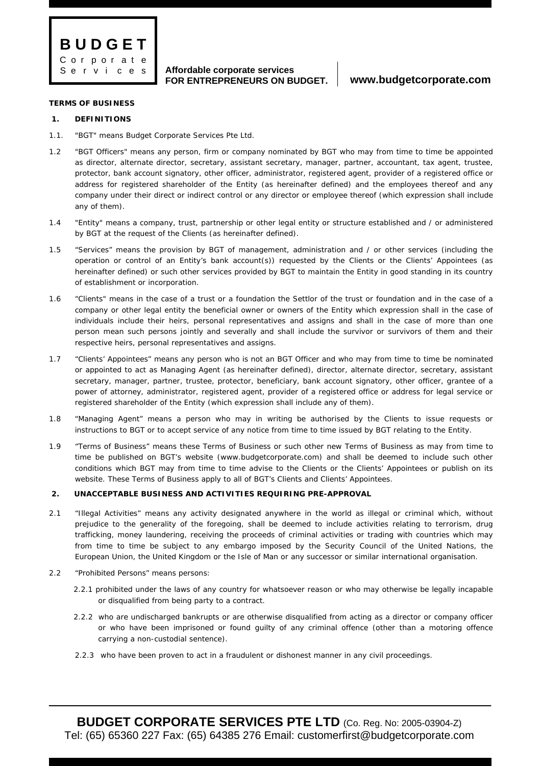

### **TERMS OF BUSINESS**

# **1. DEFINITIONS**

- 1.1. "BGT" means Budget Corporate Services Pte Ltd.
- 1.2 "BGT Officers" means any person, firm or company nominated by BGT who may from time to time be appointed as director, alternate director, secretary, assistant secretary, manager, partner, accountant, tax agent, trustee, protector, bank account signatory, other officer, administrator, registered agent, provider of a registered office or address for registered shareholder of the Entity (as hereinafter defined) and the employees thereof and any company under their direct or indirect control or any director or employee thereof (which expression shall include any of them).
- 1.4 "Entity" means a company, trust, partnership or other legal entity or structure established and / or administered by BGT at the request of the Clients (as hereinafter defined).
- 1.5 "Services" means the provision by BGT of management, administration and / or other services (including the operation or control of an Entity's bank account(s)) requested by the Clients or the Clients' Appointees (as hereinafter defined) or such other services provided by BGT to maintain the Entity in good standing in its country of establishment or incorporation.
- 1.6 "Clients" means in the case of a trust or a foundation the Settlor of the trust or foundation and in the case of a company or other legal entity the beneficial owner or owners of the Entity which expression shall in the case of individuals include their heirs, personal representatives and assigns and shall in the case of more than one person mean such persons jointly and severally and shall include the survivor or survivors of them and their respective heirs, personal representatives and assigns.
- 1.7 "Clients' Appointees" means any person who is not an BGT Officer and who may from time to time be nominated or appointed to act as Managing Agent (as hereinafter defined), director, alternate director, secretary, assistant secretary, manager, partner, trustee, protector, beneficiary, bank account signatory, other officer, grantee of a power of attorney, administrator, registered agent, provider of a registered office or address for legal service or registered shareholder of the Entity (which expression shall include any of them).
- 1.8 "Managing Agent" means a person who may in writing be authorised by the Clients to issue requests or instructions to BGT or to accept service of any notice from time to time issued by BGT relating to the Entity.
- 1.9 "Terms of Business" means these Terms of Business or such other new Terms of Business as may from time to time be published on BGT's website (www.budgetcorporate.com) and shall be deemed to include such other conditions which BGT may from time to time advise to the Clients or the Clients' Appointees or publish on its website. These Terms of Business apply to all of BGT's Clients and Clients' Appointees.

# **2. UNACCEPTABLE BUSINESS AND ACTIVITIES REQUIRING PRE-APPROVAL**

- 2.1 "Illegal Activities" means any activity designated anywhere in the world as illegal or criminal which, without prejudice to the generality of the foregoing, shall be deemed to include activities relating to terrorism, drug trafficking, money laundering, receiving the proceeds of criminal activities or trading with countries which may from time to time be subject to any embargo imposed by the Security Council of the United Nations, the European Union, the United Kingdom or the Isle of Man or any successor or similar international organisation.
- 2.2 "Prohibited Persons" means persons:
	- 2.2.1 prohibited under the laws of any country for whatsoever reason or who may otherwise be legally incapable or disqualified from being party to a contract.
	- 2.2.2 who are undischarged bankrupts or are otherwise disqualified from acting as a director or company officer or who have been imprisoned or found guilty of any criminal offence (other than a motoring offence carrying a non-custodial sentence).
	- 2.2.3 who have been proven to act in a fraudulent or dishonest manner in any civil proceedings.

**BUDGET CORPORATE SERVICES PTE LTD** (Co. Reg. No: 2005-03904-Z) Tel: (65) 65360 227 Fax: (65) 64385 276 Email: customerfirst@budgetcorporate.com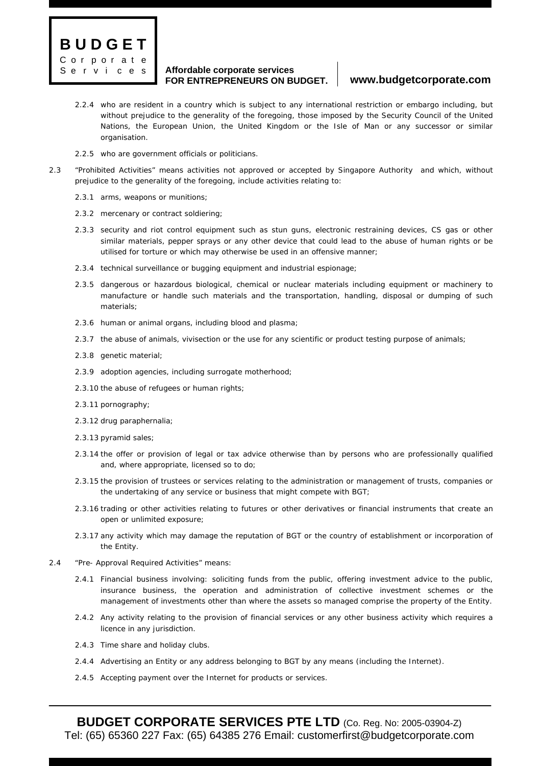

- 2.2.4 who are resident in a country which is subject to any international restriction or embargo including, but without prejudice to the generality of the foregoing, those imposed by the Security Council of the United Nations, the European Union, the United Kingdom or the Isle of Man or any successor or similar organisation.
- 2.2.5 who are government officials or politicians.
- 2.3 "Prohibited Activities" means activities not approved or accepted by Singapore Authority and which, without prejudice to the generality of the foregoing, include activities relating to:
	- 2.3.1 arms, weapons or munitions;
	- 2.3.2 mercenary or contract soldiering;
	- 2.3.3 security and riot control equipment such as stun guns, electronic restraining devices, CS gas or other similar materials, pepper sprays or any other device that could lead to the abuse of human rights or be utilised for torture or which may otherwise be used in an offensive manner;
	- 2.3.4 technical surveillance or bugging equipment and industrial espionage;
	- 2.3.5 dangerous or hazardous biological, chemical or nuclear materials including equipment or machinery to manufacture or handle such materials and the transportation, handling, disposal or dumping of such materials;
	- 2.3.6 human or animal organs, including blood and plasma;
	- 2.3.7 the abuse of animals, vivisection or the use for any scientific or product testing purpose of animals;
	- 2.3.8 genetic material;
	- 2.3.9 adoption agencies, including surrogate motherhood;
	- 2.3.10 the abuse of refugees or human rights;
	- 2.3.11 pornography;
	- 2.3.12 drug paraphernalia;
	- 2.3.13 pyramid sales;
	- 2.3.14 the offer or provision of legal or tax advice otherwise than by persons who are professionally qualified and, where appropriate, licensed so to do;
	- 2.3.15 the provision of trustees or services relating to the administration or management of trusts, companies or the undertaking of any service or business that might compete with BGT;
	- 2.3.16 trading or other activities relating to futures or other derivatives or financial instruments that create an open or unlimited exposure;
	- 2.3.17 any activity which may damage the reputation of BGT or the country of establishment or incorporation of the Entity.
- 2.4 "Pre- Approval Required Activities" means:
	- 2.4.1 Financial business involving: soliciting funds from the public, offering investment advice to the public, insurance business, the operation and administration of collective investment schemes or the management of investments other than where the assets so managed comprise the property of the Entity.
	- 2.4.2 Any activity relating to the provision of financial services or any other business activity which requires a licence in any jurisdiction.
	- 2.4.3 Time share and holiday clubs.
	- 2.4.4 Advertising an Entity or any address belonging to BGT by any means (including the Internet).
	- 2.4.5 Accepting payment over the Internet for products or services.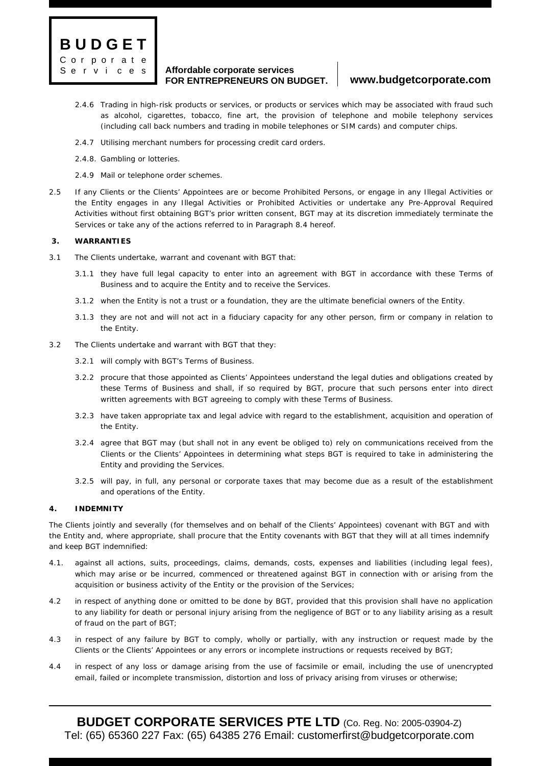

- 2.4.6 Trading in high-risk products or services, or products or services which may be associated with fraud such as alcohol, cigarettes, tobacco, fine art, the provision of telephone and mobile telephony services (including call back numbers and trading in mobile telephones or SIM cards) and computer chips.
- 2.4.7 Utilising merchant numbers for processing credit card orders.
- 2.4.8. Gambling or lotteries.
- 2.4.9 Mail or telephone order schemes.
- 2.5 If any Clients or the Clients' Appointees are or become Prohibited Persons, or engage in any Illegal Activities or the Entity engages in any Illegal Activities or Prohibited Activities or undertake any Pre-Approval Required Activities without first obtaining BGT's prior written consent, BGT may at its discretion immediately terminate the Services or take any of the actions referred to in Paragraph 8.4 hereof.

## **3. WARRANTIES**

- 3.1 The Clients undertake, warrant and covenant with BGT that:
	- 3.1.1 they have full legal capacity to enter into an agreement with BGT in accordance with these Terms of Business and to acquire the Entity and to receive the Services.
	- 3.1.2 when the Entity is not a trust or a foundation, they are the ultimate beneficial owners of the Entity.
	- 3.1.3 they are not and will not act in a fiduciary capacity for any other person, firm or company in relation to the Entity.
- 3.2 The Clients undertake and warrant with BGT that they:
	- 3.2.1 will comply with BGT's Terms of Business.
	- 3.2.2 procure that those appointed as Clients' Appointees understand the legal duties and obligations created by these Terms of Business and shall, if so required by BGT, procure that such persons enter into direct written agreements with BGT agreeing to comply with these Terms of Business.
	- 3.2.3 have taken appropriate tax and legal advice with regard to the establishment, acquisition and operation of the Entity.
	- 3.2.4 agree that BGT may (but shall not in any event be obliged to) rely on communications received from the Clients or the Clients' Appointees in determining what steps BGT is required to take in administering the Entity and providing the Services.
	- 3.2.5 will pay, in full, any personal or corporate taxes that may become due as a result of the establishment and operations of the Entity.

### **4. INDEMNITY**

The Clients jointly and severally (for themselves and on behalf of the Clients' Appointees) covenant with BGT and with the Entity and, where appropriate, shall procure that the Entity covenants with BGT that they will at all times indemnify and keep BGT indemnified:

- 4.1. against all actions, suits, proceedings, claims, demands, costs, expenses and liabilities (including legal fees), which may arise or be incurred, commenced or threatened against BGT in connection with or arising from the acquisition or business activity of the Entity or the provision of the Services;
- 4.2 in respect of anything done or omitted to be done by BGT, provided that this provision shall have no application to any liability for death or personal injury arising from the negligence of BGT or to any liability arising as a result of fraud on the part of BGT;
- 4.3 in respect of any failure by BGT to comply, wholly or partially, with any instruction or request made by the Clients or the Clients' Appointees or any errors or incomplete instructions or requests received by BGT;
- 4.4 in respect of any loss or damage arising from the use of facsimile or email, including the use of unencrypted email, failed or incomplete transmission, distortion and loss of privacy arising from viruses or otherwise;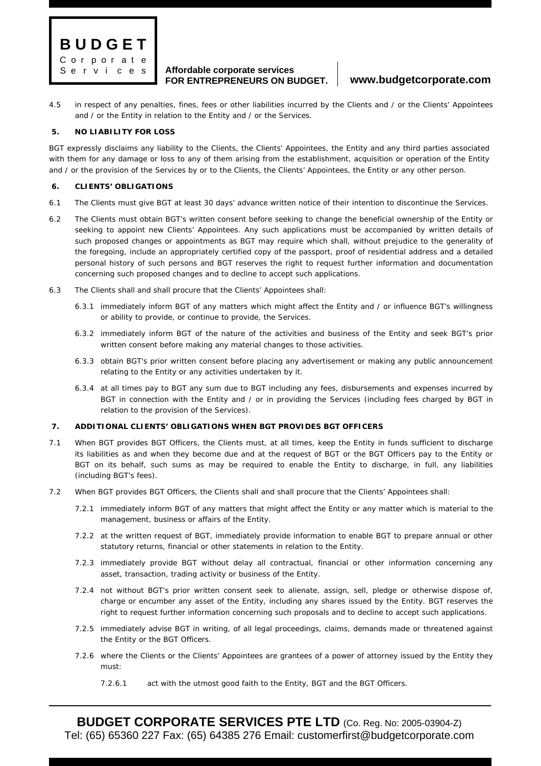

4.5 in respect of any penalties, fines, fees or other liabilities incurred by the Clients and / or the Clients' Appointees and / or the Entity in relation to the Entity and / or the Services.

# **5. NO LIABILITY FOR LOSS**

BGT expressly disclaims any liability to the Clients, the Clients' Appointees, the Entity and any third parties associated with them for any damage or loss to any of them arising from the establishment, acquisition or operation of the Entity and / or the provision of the Services by or to the Clients, the Clients' Appointees, the Entity or any other person.

## **6. CLIENTS' OBLIGATIONS**

- 6.1 The Clients must give BGT at least 30 days' advance written notice of their intention to discontinue the Services.
- 6.2 The Clients must obtain BGT's written consent before seeking to change the beneficial ownership of the Entity or seeking to appoint new Clients' Appointees. Any such applications must be accompanied by written details of such proposed changes or appointments as BGT may require which shall, without prejudice to the generality of the foregoing, include an appropriately certified copy of the passport, proof of residential address and a detailed personal history of such persons and BGT reserves the right to request further information and documentation concerning such proposed changes and to decline to accept such applications.
- 6.3 The Clients shall and shall procure that the Clients' Appointees shall:
	- 6.3.1 immediately inform BGT of any matters which might affect the Entity and / or influence BGT's willingness or ability to provide, or continue to provide, the Services.
	- 6.3.2 immediately inform BGT of the nature of the activities and business of the Entity and seek BGT's prior written consent before making any material changes to those activities.
	- 6.3.3 obtain BGT's prior written consent before placing any advertisement or making any public announcement relating to the Entity or any activities undertaken by it.
	- 6.3.4 at all times pay to BGT any sum due to BGT including any fees, disbursements and expenses incurred by BGT in connection with the Entity and / or in providing the Services (including fees charged by BGT in relation to the provision of the Services).

# **7. ADDITIONAL CLIENTS' OBLIGATIONS WHEN BGT PROVIDES BGT OFFICERS**

- 7.1 When BGT provides BGT Officers, the Clients must, at all times, keep the Entity in funds sufficient to discharge its liabilities as and when they become due and at the request of BGT or the BGT Officers pay to the Entity or BGT on its behalf, such sums as may be required to enable the Entity to discharge, in full, any liabilities (including BGT's fees).
- 7.2 When BGT provides BGT Officers, the Clients shall and shall procure that the Clients' Appointees shall:
	- 7.2.1 immediately inform BGT of any matters that might affect the Entity or any matter which is material to the management, business or affairs of the Entity.
	- 7.2.2 at the written request of BGT, immediately provide information to enable BGT to prepare annual or other statutory returns, financial or other statements in relation to the Entity.
	- 7.2.3 immediately provide BGT without delay all contractual, financial or other information concerning any asset, transaction, trading activity or business of the Entity.
	- 7.2.4 not without BGT's prior written consent seek to alienate, assign, sell, pledge or otherwise dispose of, charge or encumber any asset of the Entity, including any shares issued by the Entity. BGT reserves the right to request further information concerning such proposals and to decline to accept such applications.
	- 7.2.5 immediately advise BGT in writing, of all legal proceedings, claims, demands made or threatened against the Entity or the BGT Officers.
	- 7.2.6 where the Clients or the Clients' Appointees are grantees of a power of attorney issued by the Entity they must:
		- 7.2.6.1 act with the utmost good faith to the Entity, BGT and the BGT Officers.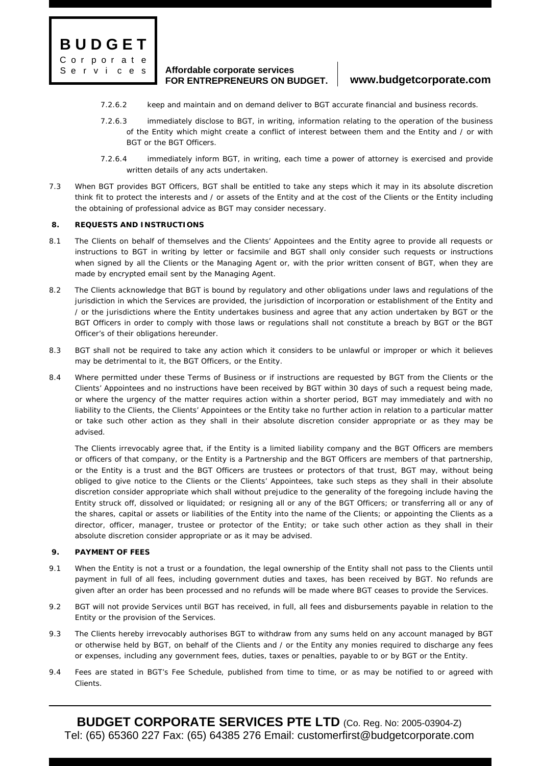

- 7.2.6.2 keep and maintain and on demand deliver to BGT accurate financial and business records.
- 7.2.6.3 immediately disclose to BGT, in writing, information relating to the operation of the business of the Entity which might create a conflict of interest between them and the Entity and / or with BGT or the BGT Officers.
- 7.2.6.4 immediately inform BGT, in writing, each time a power of attorney is exercised and provide written details of any acts undertaken.
- 7.3 When BGT provides BGT Officers, BGT shall be entitled to take any steps which it may in its absolute discretion think fit to protect the interests and / or assets of the Entity and at the cost of the Clients or the Entity including the obtaining of professional advice as BGT may consider necessary.

### **8. REQUESTS AND INSTRUCTIONS**

- 8.1 The Clients on behalf of themselves and the Clients' Appointees and the Entity agree to provide all requests or instructions to BGT in writing by letter or facsimile and BGT shall only consider such requests or instructions when signed by all the Clients or the Managing Agent or, with the prior written consent of BGT, when they are made by encrypted email sent by the Managing Agent.
- 8.2 The Clients acknowledge that BGT is bound by regulatory and other obligations under laws and regulations of the jurisdiction in which the Services are provided, the jurisdiction of incorporation or establishment of the Entity and / or the jurisdictions where the Entity undertakes business and agree that any action undertaken by BGT or the BGT Officers in order to comply with those laws or regulations shall not constitute a breach by BGT or the BGT Officer's of their obligations hereunder.
- 8.3 BGT shall not be required to take any action which it considers to be unlawful or improper or which it believes may be detrimental to it, the BGT Officers, or the Entity.
- 8.4 Where permitted under these Terms of Business or if instructions are requested by BGT from the Clients or the Clients' Appointees and no instructions have been received by BGT within 30 days of such a request being made, or where the urgency of the matter requires action within a shorter period, BGT may immediately and with no liability to the Clients, the Clients' Appointees or the Entity take no further action in relation to a particular matter or take such other action as they shall in their absolute discretion consider appropriate or as they may be advised.

The Clients irrevocably agree that, if the Entity is a limited liability company and the BGT Officers are members or officers of that company, or the Entity is a Partnership and the BGT Officers are members of that partnership, or the Entity is a trust and the BGT Officers are trustees or protectors of that trust, BGT may, without being obliged to give notice to the Clients or the Clients' Appointees, take such steps as they shall in their absolute discretion consider appropriate which shall without prejudice to the generality of the foregoing include having the Entity struck off, dissolved or liquidated; or resigning all or any of the BGT Officers; or transferring all or any of the shares, capital or assets or liabilities of the Entity into the name of the Clients; or appointing the Clients as a director, officer, manager, trustee or protector of the Entity; or take such other action as they shall in their absolute discretion consider appropriate or as it may be advised.

### **9. PAYMENT OF FEES**

- 9.1 When the Entity is not a trust or a foundation, the legal ownership of the Entity shall not pass to the Clients until payment in full of all fees, including government duties and taxes, has been received by BGT. No refunds are given after an order has been processed and no refunds will be made where BGT ceases to provide the Services.
- 9.2 BGT will not provide Services until BGT has received, in full, all fees and disbursements payable in relation to the Entity or the provision of the Services.
- 9.3 The Clients hereby irrevocably authorises BGT to withdraw from any sums held on any account managed by BGT or otherwise held by BGT, on behalf of the Clients and / or the Entity any monies required to discharge any fees or expenses, including any government fees, duties, taxes or penalties, payable to or by BGT or the Entity.
- 9.4 Fees are stated in BGT's Fee Schedule, published from time to time, or as may be notified to or agreed with Clients.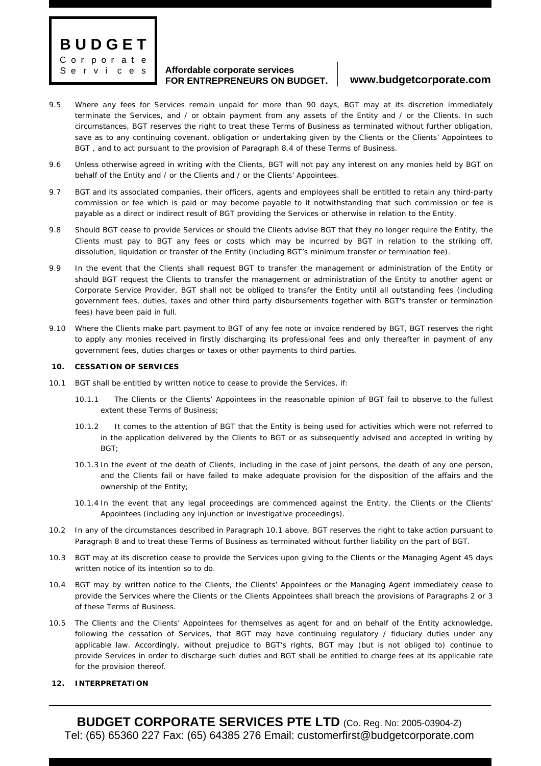**B U D G E T** C or p or a t e S e r v i c e s

### **Affordable corporate services FOR ENTREPRENEURS ON BUDGET. www.budgetcorporate.com**

- 9.5 Where any fees for Services remain unpaid for more than 90 days, BGT may at its discretion immediately terminate the Services, and / or obtain payment from any assets of the Entity and / or the Clients. In such circumstances, BGT reserves the right to treat these Terms of Business as terminated without further obligation, save as to any continuing covenant, obligation or undertaking given by the Clients or the Clients' Appointees to BGT , and to act pursuant to the provision of Paragraph 8.4 of these Terms of Business.
- 9.6 Unless otherwise agreed in writing with the Clients, BGT will not pay any interest on any monies held by BGT on behalf of the Entity and / or the Clients and / or the Clients' Appointees.
- 9.7 BGT and its associated companies, their officers, agents and employees shall be entitled to retain any third-party commission or fee which is paid or may become payable to it notwithstanding that such commission or fee is payable as a direct or indirect result of BGT providing the Services or otherwise in relation to the Entity.
- 9.8 Should BGT cease to provide Services or should the Clients advise BGT that they no longer require the Entity, the Clients must pay to BGT any fees or costs which may be incurred by BGT in relation to the striking off, dissolution, liquidation or transfer of the Entity (including BGT's minimum transfer or termination fee).
- 9.9 In the event that the Clients shall request BGT to transfer the management or administration of the Entity or should BGT request the Clients to transfer the management or administration of the Entity to another agent or Corporate Service Provider, BGT shall not be obliged to transfer the Entity until all outstanding fees (including government fees, duties, taxes and other third party disbursements together with BGT's transfer or termination fees) have been paid in full.
- 9.10 Where the Clients make part payment to BGT of any fee note or invoice rendered by BGT, BGT reserves the right to apply any monies received in firstly discharging its professional fees and only thereafter in payment of any government fees, duties charges or taxes or other payments to third parties.

### **10. CESSATION OF SERVICES**

- 10.1 BGT shall be entitled by written notice to cease to provide the Services, if:
	- 10.1.1 The Clients or the Clients' Appointees in the reasonable opinion of BGT fail to observe to the fullest extent these Terms of Business;
	- 10.1.2 It comes to the attention of BGT that the Entity is being used for activities which were not referred to in the application delivered by the Clients to BGT or as subsequently advised and accepted in writing by  $RGT$
	- 10.1.3 In the event of the death of Clients, including in the case of joint persons, the death of any one person, and the Clients fail or have failed to make adequate provision for the disposition of the affairs and the ownership of the Entity;
	- 10.1.4 In the event that any legal proceedings are commenced against the Entity, the Clients or the Clients' Appointees (including any injunction or investigative proceedings).
- 10.2 In any of the circumstances described in Paragraph 10.1 above, BGT reserves the right to take action pursuant to Paragraph 8 and to treat these Terms of Business as terminated without further liability on the part of BGT.
- 10.3 BGT may at its discretion cease to provide the Services upon giving to the Clients or the Managing Agent 45 days written notice of its intention so to do.
- 10.4 BGT may by written notice to the Clients, the Clients' Appointees or the Managing Agent immediately cease to provide the Services where the Clients or the Clients Appointees shall breach the provisions of Paragraphs 2 or 3 of these Terms of Business.
- 10.5 The Clients and the Clients' Appointees for themselves as agent for and on behalf of the Entity acknowledge, following the cessation of Services, that BGT may have continuing regulatory / fiduciary duties under any applicable law. Accordingly, without prejudice to BGT's rights, BGT may (but is not obliged to) continue to provide Services in order to discharge such duties and BGT shall be entitled to charge fees at its applicable rate for the provision thereof.

### **12. INTERPRETATION**